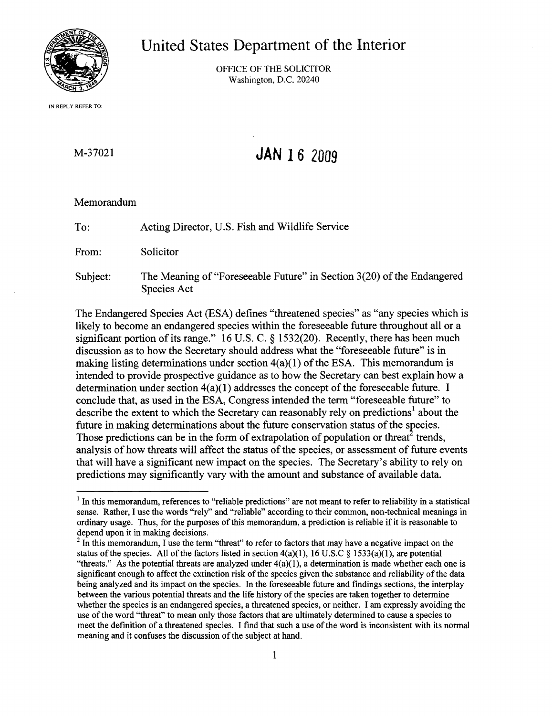

**United States Department of the Interior**

OFFICE OF THE SOLICITOR Washington, D.C. 20240

IN REPLY REFER TO:

# M-37021

# **JAN 16** *2009*

## Memorandum

To: Acting Director, U.S. Fish and Wildlife Service

From: Solicitor

Subject: The Meaning of "Foreseeable Future" in Section  $3(20)$  of the Endangered Species Act

The Endangered Species Act (ESA) defines "threatened species" as "any species which is likely to become an endangered species within the foreseeable future throughout all or a significant portion of its range."  $16$  U.S. C. § 1532(20). Recently, there has been much discussion as to how the Secretary should address what the "foreseeable future" is in making listing determinations under section  $4(a)(1)$  of the ESA. This memorandum is intended to provide prospective guidance as to how the Secretary can best explain how a determination under section  $4(a)(1)$  addresses the concept of the foreseeable future. I conclude that, as used in the ESA, Congress intended the term "foreseeable future" to describe the extent to which the Secretary can reasonably rely on predictions<sup>1</sup> about the future in making determinations about the future conservation status of the species. Those predictions can be in the form of extrapolation of population or threat trends, analysis of how threats will affect the status of the species, or assessment of future events that will have a significant new impact on the species. The Secretary's ability to rely on predictions may significantly vary with the amount and substance of available data.

 $<sup>1</sup>$  In this memorandum, references to "reliable predictions" are not meant to refer to reliability in a statistical</sup> sense. Rather, I use the words "rely" and "reliable" according to their common, non-technical meanings in ordinary usage. Thus, for the purposes of this memorandum, a prediction is reliable if it is reasonable to depend upon it in making decisions.

 $2 \text{ In this memorandum, I use the term "thread" to refer to factors that may have a negative impact on the$ status of the species. All of the factors listed in section  $4(a)(1)$ , 16 U.S.C § 1533(a)(1), are potential "threats." As the potential threats are analyzed under  $4(a)(1)$ , a determination is made whether each one is significant enough to affect the extinction risk of the species given the substance and reliability of the data being analyzed and its impact on the species. In the foreseeable future and fmdings sections, the interplay between the various potential threats and the life history of the species are taken together to determine whether the species is an endangered species, a threatened species, or neither. I am expressly avoiding the use of the word "threat" to mean only those factors that are ultimately determined to cause a species to meet the defmition of a threatened species. I fmd that such a use ofthe word is inconsistent with its normal meaning and it confuses the discussion of the subject at hand.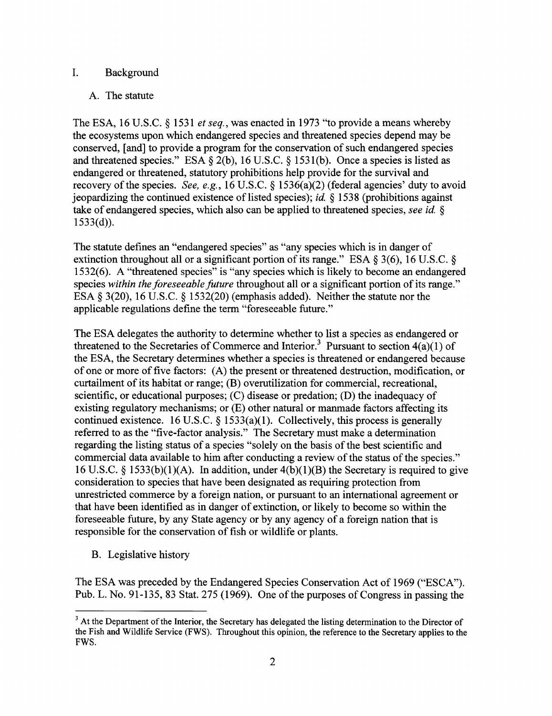## 1. Background

## A. The statute

The ESA, 16 U.S.C. § 1531 *et seq.,* was enacted in 1973 "to provide a means whereby the ecosystems upon which endangered species and threatened species depend may be conserved, [and] to provide a program for the conservation of such endangered species and threatened species." ESA  $\S 2(b)$ , 16 U.S.C.  $\S 1531(b)$ . Once a species is listed as endangered or threatened, statutory prohibitions help provide for the survival and recovery of the species. *See, e.g.*, 16 U.S.C. § 1536(a)(2) (federal agencies' duty to avoid jeopardizing the continued existence of listed species); *id.*  $\S$  1538 (prohibitions against take of endangered species, which also can be applied to threatened species, *see id.* §  $1533(d)$ ).

The statute defines an "endangered species" as "any species which is in danger of extinction throughout all or a significant portion of its range." ESA  $\S$  3(6), 16 U.S.C.  $\S$ 1532(6). A "threatened species" is "any species which is likely to become an endangered species *within the foreseeable future* throughout all or a significant portion ofits range." ESA § 3(20), 16 U.S.C. § 1532(20) (emphasis added). Neither the statute nor the applicable regulations define the term "foreseeable future."

The ESA delegates the authority to determine whether to list a species as endangered or threatened to the Secretaries of Commerce and Interior.<sup>3</sup> Pursuant to section  $4(a)(1)$  of the ESA, the Secretary determines whether a species is threatened or endangered because of one or more offive factors: (A) the present or threatened destruction, modification, or curtailment of its habitat or range;  $(B)$  overutilization for commercial, recreational, scientific, or educational purposes; (C) disease or predation; (D) the inadequacy of existing regulatory mechanisms; or (E) other natural or manmade factors affecting its continued existence. 16 U.S.C.  $\S$  1533(a)(1). Collectively, this process is generally referred to as the "five-factor analysis." The Secretary must make a determination regarding the listing status of a species "solely on the basis of the best scientific and commercial data available to him after conducting a review of the status of the species." 16 U.S.C. § 1533(b)(1)(A). In addition, under 4(b)(1)(B) the Secretary is required to give consideration to species that have been designated as requiring protection from unrestricted commerce by a foreign nation, or pursuant to an international agreement or that have been identified as in danger of extinction, or likely to become so within the foreseeable future, by any State agency or by any agency of a foreign nation that is responsible for the conservation of fish or wildlife or plants.

B. Legislative history

The ESA was preceded by the Endangered Species Conservation Act of 1969 ("ESCA"). Pub. L. No. 91-135, 83 Stat. 275 (1969). One of the purposes of Congress in passing the

<sup>&</sup>lt;sup>3</sup> At the Department of the Interior, the Secretary has delegated the listing determination to the Director of the Fish and Wildlife Service (FWS). Throughout this opinion, the reference to the Secretary applies to the FWS.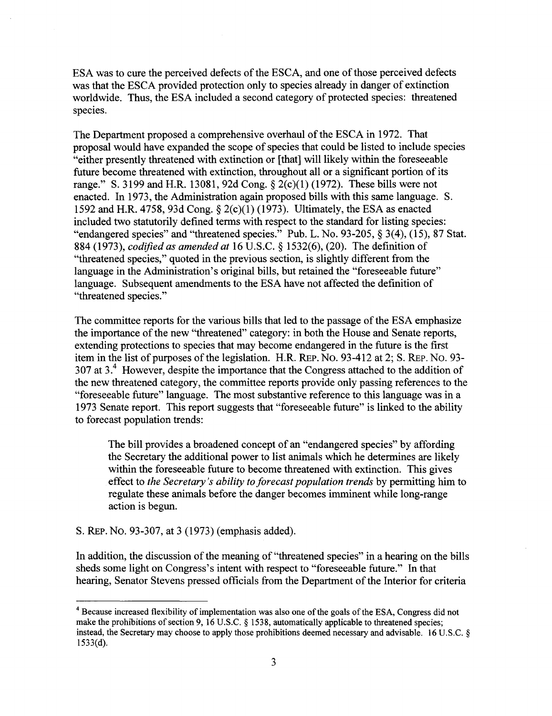ESA was to cure the perceived defects of the ESCA, and one of those perceived defects was that the ESCA provided protection only to species already in danger of extinction worldwide. Thus, the ESA included a second category of protected species: threatened species.

The Department proposed a comprehensive overhaul of the ESCA in 1972. That proposal would have expanded the scope of species that could be listed to include species "either presently threatened with extinction or [that] will likely within the foreseeable future become threatened with extinction, throughout all or a significant portion of its range." S. 3199 and H.R. 13081, 92d Cong.  $\S$  2(c)(1) (1972). These bills were not enacted. In 1973, the Administration again proposed bills with this same language. S. 1592 and H.R. 4758, 93d Cong.  $\S$  2(c)(1) (1973). Ultimately, the ESA as enacted included two statutorily defined terms with respect to the standard for listing species: "endangered species" and "threatened species." Pub. L. No. 93-205, § 3(4), (15),87 Stat. 884 (1973), *codified as amended at* 16 U.S.C. § 1532(6), (20). The definition of "threatened species," quoted in the previous section, is slightly different from the language in the Administration's original bills, but retained the "foreseeable future" language. Subsequent amendments to the ESA have not affected the definition of "threatened species."

The committee reports for the various bills that led to the passage of the ESA emphasize the importance of the new "threatened" category: in both the House and Senate reports, extending protections to species that may become endangered in the future is the first item in the list of purposes of the legislation. H.R. REP. No. 93-412 at 2; S. REP. No. 93-307 at 3.<sup>4</sup> However, despite the importance that the Congress attached to the addition of the new threatened category, the committee reports provide only passing references to the "foreseeable future" language. The most substantive reference to this language was in a 1973 Senate report. This report suggests that "foreseeable future" is linked to the ability to forecast population trends:

The bill provides a broadened concept of an "endangered species" by affording the Secretary the additional power to list animals which he determines are likely within the foreseeable future to become threatened with extinction. This gives effect to *the Secretary's ability to forecast population trends* by permitting him to regulate these animals before the danger becomes imminent while long-range action is begun.

S. REp. No. 93-307, at 3 (1973) (emphasis added).

In addition, the discussion of the meaning of "threatened species" in a hearing on the bills sheds some light on Congress's intent with respect to "foreseeable future." In that hearing, Senator Stevens pressed officials from the Department of the Interior for criteria

<sup>&</sup>lt;sup>4</sup> Because increased flexibility of implementation was also one of the goals of the ESA, Congress did not make the prohibitions of section 9, 16 U.S.C. § 1538, automatically applicable to threatened species; instead, the Secretary may choose to apply those prohibitions deemed necessary and advisable. 16 U.S.C. § 1533(d).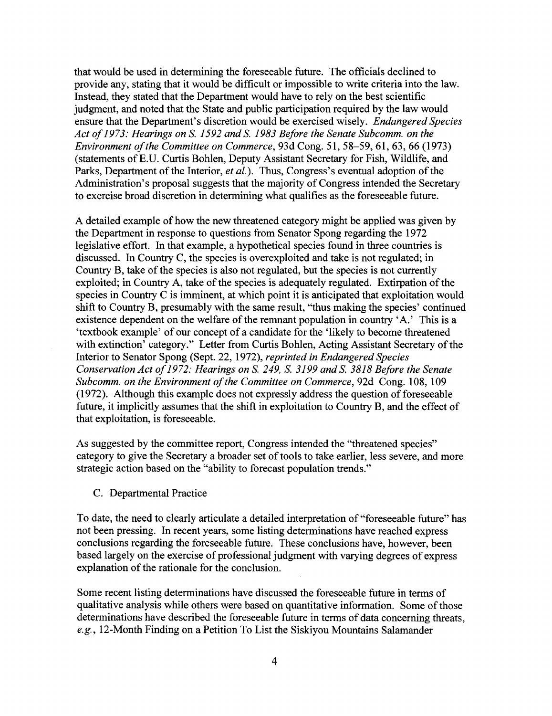that would be used in determining the foreseeable future. The officials declined to provide any, stating that it would be difficult or impossible to write criteria into the law. Instead, they stated that the Department would have to rely on the best scientific judgment, and noted that the State and public participation required by the law would ensure that the Department's discretion would be exercised wisely. *Endangered Species Act of*1973: *Hearings on* S. 1592 *and* S. 1983 *Before the Senate Subcomm. on the Environment of the Committee on Commerce,* 93d Cong. 51, 58–59, 61, 63, 66 (1973) (statements ofE.D. Curtis Bohlen, Deputy Assistant Secretary for Fish, Wildlife, and Parks, Department of the Interior, *et al.*). Thus, Congress's eventual adoption of the Administration's proposal suggests that the majority of Congress intended the Secretary to exercise broad discretion in determining what qualifies as the foreseeable future.

A detailed example of how the new threatened category might be applied was given by the Department in response to questions from Senator Spong regarding the 1972 legislative effort. In that example, a hypothetical species found in three countries is discussed. In Country C, the species is overexploited and take is not regulated; in Country B, take of the species is also not regulated, but the species is not currently exploited; in Country A, take of the species is adequately regulated. Extirpation of the species in Country C is imminent, at which point it is anticipated that exploitation would shift to Country B, presumably with the same result, "thus making the species' continued existence dependent on the welfare of the remnant population in country 'A.' This is a 'textbook example' of our concept of a candidate for the 'likely to become threatened with extinction' category." Letter from Curtis Bohlen, Acting Assistant Secretary of the Interior to Senator Spong (Sept. 22, 1972), *reprinted in Endangered Species Conservation Act of*1972: *Hearings on* S. 249, S. 3199 *and* S. 3818 *Before the Senate Subcomm. on the Environment of the Committee on Commerce,* 92d Cong. 108, 109  $(1972)$ . Although this example does not expressly address the question of foreseeable future, it implicitly assumes that the shift in exploitation to Country B, and the effect of that exploitation, is foreseeable.

As suggested by the committee report, Congress intended the "threatened species" category to give the Secretary a broader set of tools to take earlier, less severe, and more strategic action based on the "ability to forecast population trends."

C. Departmental Practice

To date, the need to clearly articulate a detailed interpretation of "foreseeable future" has not been pressing. In recent years, some listing determinations have reached express conclusions regarding the foreseeable future. These conclusions have, however, been based largely on the exercise of professional judgment with varying degrees of express explanation of the rationale for the conclusion.

Some recent listing determinations have discussed the foreseeable future in terms of qualitative analysis while others were based on quantitative information. Some of those determinations have described the foreseeable future in terms of data concerning threats, *e.g.,* 12-Month Finding on a Petition To List the Siskiyou Mountains Salamander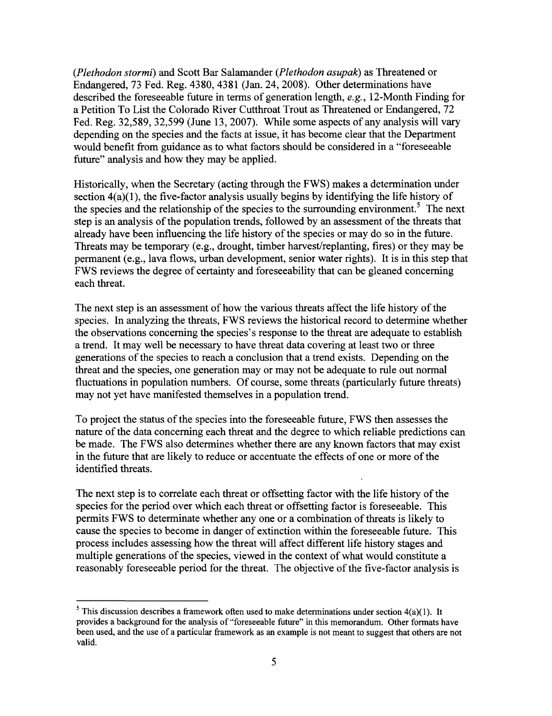*(Plethodon stormi)* and Scott Bar Salamander *(Plethodon asupak)* as Threatened or Endangered, 73 Fed. Reg. 4380, 4381 (Jan. 24, 2008). Other determinations have described the foreseeable future in terms of generation length, *e.g.,* 12-Month Finding for a Petition To List the Colorado River Cutthroat Trout as Threatened or Endangered, 72 Fed. Reg. 32,589, 32,599 (June 13, 2007). While some aspects of any analysis will vary depending on the species and the facts at issue, it has become clear that the Department would benefit from guidance as to what factors should be considered in a "foreseeable future" analysis and how they may be applied.

Historically, when the Secretary (acting through the FWS) makes a determination under section  $4(a)(1)$ , the five-factor analysis usually begins by identifying the life history of the species and the relationship of the species to the surrounding environment.<sup>5</sup> The next step is an analysis of the population trends, followed by an assessment of the threats that already have been influencing the life history of the species or may do so in the future. Threats may be temporary (e.g., drought, timber harvest/replanting, fires) or they may be permanent (e.g., lava flows, urban development, senior water rights). It is in this step that FWS reviews the degree of certainty and foreseeability that can be gleaned concerning each threat.

The next step is an assessment of how the various threats affect the life history of the species. In analyzing the threats, FWS reviews the historical record to determine whether the observations concerning the species's response to the threat are adequate to establish a trend. It may well be necessary to have threat data covering at least two or three generations of the species to reach a conclusion that a trend exists. Depending on the threat and the species, one generation mayor may not be adequate to rule out normal fluctuations in population numbers. Of course, some threats (particularly future threats) may not yet have manifested themselves in a population trend.

To project the status of the species into the foreseeable future, FWS then assesses the nature of the data concerning each threat and the degree to which reliable predictions can be made. The FWS also determines whether there are any known factors that may exist in the future that are likely to reduce or accentuate the effects of one or more ofthe identified threats.

The next step is to correlate each threat or offsetting factor with the life history of the species for the period over which each threat or offsetting factor is foreseeable. This permits FWS to determinate whether any one or a combination of threats is likely to cause the species to become in danger of extinction within the foreseeable future. This process includes assessing how the threat will affect different life history stages and multiple generations of the species, viewed in the context of what would constitute a reasonably foreseeable period for the threat. The objective of the five-factor analysis is

<sup>&</sup>lt;sup>5</sup> This discussion describes a framework often used to make determinations under section  $4(a)(1)$ . It provides a background for the analysis of "foreseeable future" in this memorandum. Other formats have been used, and the use of a particular framework as an example is not meant to suggest that others are not valid.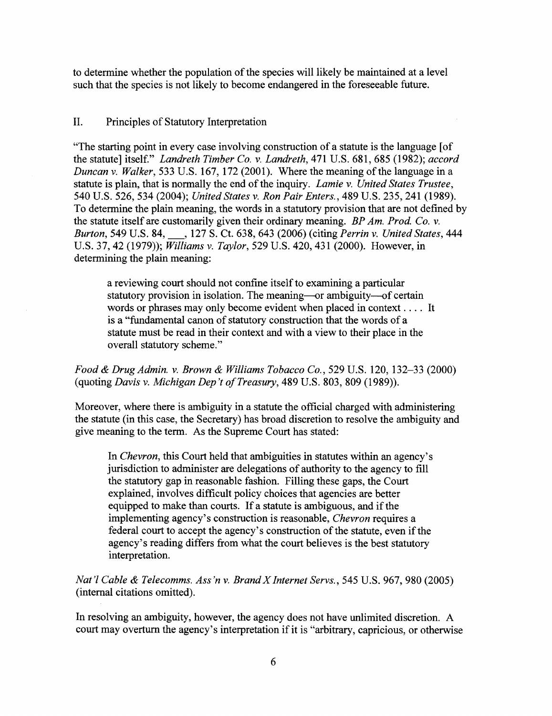to determine whether the population of the species will likely be maintained at a level such that the species is not likely to become endangered in the foreseeable future.

## II. Principles of Statutory Interpretation

"The starting point in every case involving construction of a statute is the language [of the statute] itself." *Landreth Timber Co.* v. *Landreth,* 471 U.S. 681, 685 (1982); *accord Duncan* v. *Walker*, 533 U.S. 167, 172 (2001). Where the meaning of the language in a statute is plain, that is normally the end of the inquiry. *Lamie v. United States Trustee*, 540 U.S. 526,534 (2004); *United States* v. *Ron Pair Enters.,* 489 U.S. 235,241 (1989). To determine the plain meaning, the words in a statutory provision that are not defined by the statute itself are customarily given their ordinary meaning. *BP Am. Prod. Co.* v. *Burton,* <sup>549</sup> U.S. 84, \_, <sup>127</sup> S. Ct. 638,643 (2006) (citing *Perrin* v. *United States, <sup>444</sup>* U.S. 37,42 (1979)); *Williams* v. *Taylor,* 529 U.S. 420,431 (2000). However, in determining the plain meaning:

a reviewing court should not confine itself to examining a particular statutory provision in isolation. The meaning-or ambiguity-of certain words or phrases may only become evident when placed in context. . . . It is a "fundamental canon of statutory construction that the words of a statute must be read in their context and with a view to their place in the overall statutory scheme."

*Food* & *Drug Admin.* v. *Brown* & *Williams Tobacco Co.,* 529 U.S. 120, 132-33 (2000) (quoting *Davis* v. *Michigan Dep 't o/Treasury,* 489 U.S. 803, 809 (1989)).

Moreover, where there is ambiguity in a statute the official charged with administering the statute (in this case, the Secretary) has broad discretion to resolve the ambiguity and give meaning to the term. As the Supreme Court has stated:

In *Chevron,* this Court held that ambiguities in statutes within an agency's jurisdiction to administer are delegations of authority to the agency to fill the statutory gap in reasonable fashion. Filling these gaps, the Court explained, involves difficult policy choices that agencies are better equipped to make than courts. If a statute is ambiguous, and if the implementing agency's construction is reasonable, *Chevron* requires a federal court to accept the agency's construction of the statute, even if the agency's reading differs from what the court believes is the best statutory interpretation.

*Nat'l Cable* & *Telecomms. Ass'n* v. *BrandX Internet Servs.,* 545 U.S. 967, 980 (2005) (internal citations omitted).

In resolving an ambiguity, however, the agency does not have unlimited discretion. A court may overturn the agency's interpretation if it is "arbitrary, capricious, or otherwise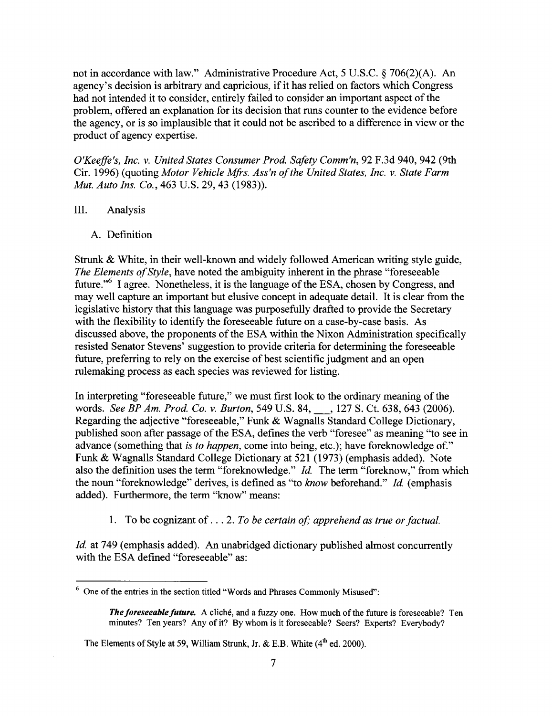not in accordance with law." Administrative Procedure Act, 5 U.S.C. § 706(2)(A). An agency's decision is arbitrary and capricious, if it has relied on factors which Congress had not intended it to consider, entirely failed to consider an important aspect of the problem, offered an explanation for its decision that runs counter to the evidence before the agency, or is so implausible that it could not be ascribed to a difference in view or the product of agency expertise.

*O'Keeffe's, Inc.* v. *United States Consumer Prod. Safety Comm'n,* 92 F.3d 940,942 (9th Cir. 1996) (quoting *Motor Vehicle Mfrs. Ass'n ofthe United States, Inc.* v. *State Farm Mut. Auto Ins. Co.,* 463 U.S. 29, 43 (1983)).

- III. Analysis
	- A. Definition

Strunk & White, in their well-known and widely followed American writing style guide, *The Elements of Style*, have noted the ambiguity inherent in the phrase "foreseeable" future.<sup>56</sup> I agree. Nonetheless, it is the language of the ESA, chosen by Congress, and may well capture an important but elusive concept in adequate detail. It is clear from the legislative history that this language was purposefully drafted to provide the Secretary with the flexibility to identify the foreseeable future on a case-by-case basis. As discussed above, the proponents of the ESA within the Nixon Administration specifically resisted Senator Stevens' suggestion to provide criteria for determining the foreseeable future, preferring to rely on the exercise of best scientific judgment and an open rulemaking process as each species was reviewed for listing.

In interpreting "foreseeable future," we must first look to the ordinary meaning of the words. *See BP Am. Prod. Co.* v. *Burton,* <sup>549</sup> U.S. 84, \_, <sup>127</sup> S. Ct. 638, <sup>643</sup> (2006). Regarding the adjective "foreseeable," Funk & Wagnalls Standard College Dictionary, published soon after passage of the ESA, defines the verb "foresee" as meaning "to see in advance (something that *is to happen,* come into being, etc.); have foreknowledge of." Funk & Wagnalls Standard College Dictionary at 521 (1973) (emphasis added). Note also the definition uses the term "foreknowledge." *Id.* The term "foreknow," from which the noun "foreknowledge" derives, is defined as "to *know* beforehand." *Id.* (emphasis added). Furthermore, the term "know" means:

1. To be cognizant of ... 2. *To be certain of; apprehend as true orfactual.*

*Id.* at 749 (emphasis added). An unabridged dictionary published almost concurrently with the ESA defined "foreseeable" as:

 $6$  One of the entries in the section titled "Words and Phrases Commonly Misused":

The foreseeable future. A cliché, and a fuzzy one. How much of the future is foreseeable? Ten minutes? Ten years? Any of it? By whom is it foreseeable? Seers? Experts? Everybody?

The Elements of Style at 59, William Strunk, Jr. & E.B. White  $(4<sup>th</sup>$  ed. 2000).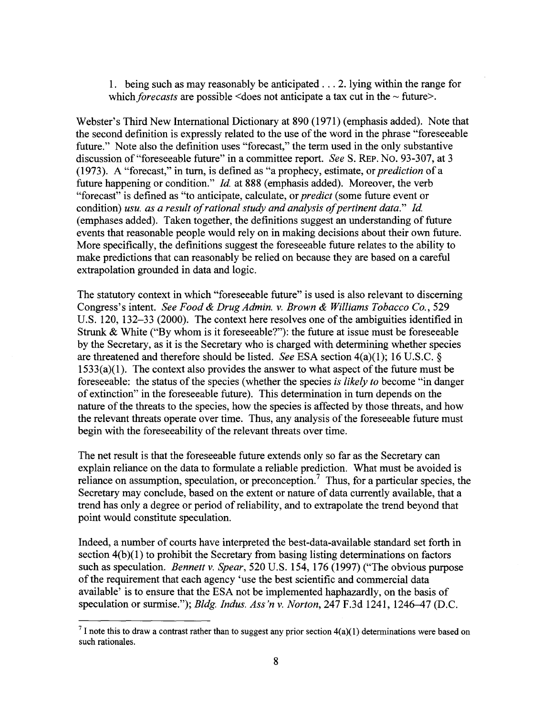1. being such as may reasonably be anticipated ... 2. lying within the range for which *forecasts* are possible <does not anticipate a tax cut in the  $\sim$  future>.

Webster's Third New International Dictionary at 890 (1971) (emphasis added). Note that the second definition is expressly related to the use of the word in the phrase "foreseeable" future." Note also the definition uses "forecast," the term used in the only substantive discussion of "foreseeable future" in a committee report. *See* S. REp. No. 93-307, at 3 (1973). A "forecast," in turn, is defined as "a prophecy, estimate, or *prediction* of a future happening or condition." *Id.* at 888 (emphasis added). Moreover, the verb "forecast" is defined as "to anticipate, calculate, or *predict* (some future event or condition) *usu. as a result ofrational study and analysis ofpertinent data." Id.* (emphases added). Taken together, the definitions suggest an understanding of future events that reasonable people would rely on in making decisions about their own future. More specifically, the definitions suggest the foreseeable future relates to the ability to make predictions that can reasonably be relied on because they are based on a careful extrapolation grounded in data and logic.

The statutory context in which "foreseeable future" is used is also relevant to discerning Congress's intent. *See Food* & *Drug Admin.* v. *Brown* & *Williams Tobacco Co., 529* U.S. 120, 132–33 (2000). The context here resolves one of the ambiguities identified in Strunk & White ("By whom is it foreseeable?"): the future at issue must be foreseeable by the Secretary, as it is the Secretary who is charged with determining whether species are threatened and therefore should be listed. *See* ESA section 4(a)(1); 16 U.S.C. §  $1533(a)(1)$ . The context also provides the answer to what aspect of the future must be fore seeable: the status of the species (whether the species *is likely to* become "in danger" of extinction" in the foreseeable future). This determination in turn depends on the nature of the threats to the species, how the species is affected by those threats, and how the relevant threats operate over time. Thus, any analysis of the foreseeable future must begin with the foreseeability of the relevant threats over time.

The net result is that the foreseeable future extends only so far as the Secretary can explain reliance on the data to formulate a reliable prediction. What must be avoided is reliance on assumption, speculation, or preconception.<sup>7</sup> Thus, for a particular species, the Secretary may conclude, based on the extent or nature of data currently available, that a trend has only a degree or period of reliability, and to extrapolate the trend beyond that point would constitute speculation.

Indeed, a number of courts have interpreted the best-data-available standard set forth in section  $4(b)(1)$  to prohibit the Secretary from basing listing determinations on factors such as speculation. *Bennett* v. *Spear,* 520 U.S. 154, 176 (1997) ("The obvious purpose of the requirement that each agency 'use the best scientific and commercial data available' is to ensure that the ESA not be implemented haphazardly, on the basis of speculation or surmise."); *Bldg. Indus. Ass'n* v. *Norton,* 247 F.3d 1241, 1246-47 (D.C.

 $<sup>7</sup>$  I note this to draw a contrast rather than to suggest any prior section  $4(a)(1)$  determinations were based on</sup> such rationales.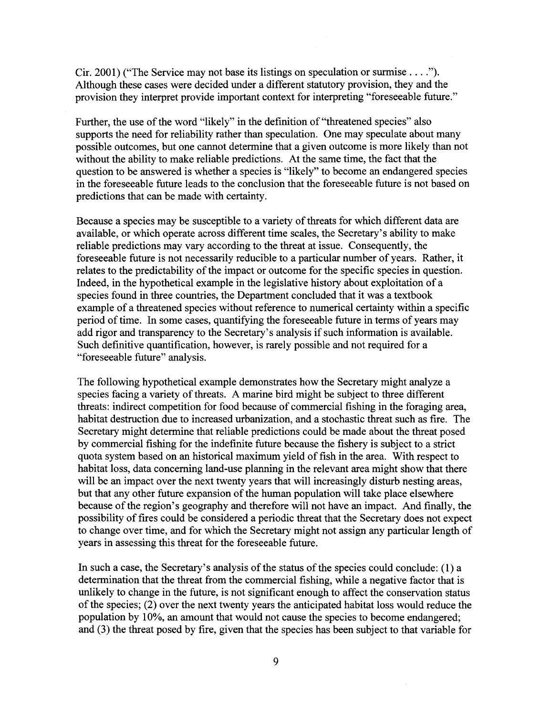Cir. 2001) ("The Service may not base its listings on speculation or surmise ...."). Although these cases were decided under a different statutory provision, they and the provision they interpret provide important context for interpreting "foreseeable future."

Further, the use of the word "likely" in the definition of "threatened species" also supports the need for reliability rather than speculation. One may speculate about many possible outcomes, but one cannot determine that a given outcome is more likely than not without the ability to make reliable predictions. At the same time, the fact that the question to be answered is whether a species is "likely" to become an endangered species in the foreseeable future leads to the conclusion that the foreseeable future is not based on predictions that can be made with certainty.

Because a species may be susceptible to a variety of threats for which different data are available, or which operate across different time scales, the Secretary's ability to make reliable predictions may vary according to the threat at issue. Consequently, the foreseeable future is not necessarily reducible to a particular number of years. Rather, it relates to the predictability of the impact or outcome for the specific species in question. Indeed, in the hypothetical example in the legislative history about exploitation of a species found in three countries, the Department concluded that it was a textbook example of a threatened species without reference to numerical certainty within a specific period of time. In some cases, quantifying the foreseeable future in terms of years may add rigor and transparency to the Secretary's analysis if such information is available. Such definitive quantification, however, is rarely possible and not required for a "foreseeable future" analysis.

The following hypothetical example demonstrates how the Secretary might analyze a species facing a variety of threats. A marine bird might be subject to three different threats: indirect competition for food because of commercial fishing in the foraging area, habitat destruction due to increased urbanization, and a stochastic threat such as fire. The Secretary might determine that reliable predictions could be made about the threat posed by commercial fishing for the indefinite future because the fishery is subject to a strict quota system based on an historical maximum yield of fish in the area. With respect to habitat loss, data concerning land-use planning in the relevant area might show that there will be an impact over the next twenty years that will increasingly disturb nesting areas, but that any other future expansion of the human population will take place elsewhere because of the region's geography and therefore will not have an impact. And finally, the possibility of fires could be considered a periodic threat that the Secretary does not expect to change over time, and for which the Secretary might not assign any particular length of years in assessing this threat for the foreseeable future.

In such a case, the Secretary's analysis of the status of the species could conclude:  $(1)$  a determination that the threat from the commercial fishing, while a negative factor that is unlikely to change in the future, is not significant enough to affect the conservation status of the species; (2) over the next twenty years the anticipated habitat loss would reduce the population by 10%, an amount that would not cause the species to become endangered; and (3) the threat posed by fire, given that the species has been subject to that variable for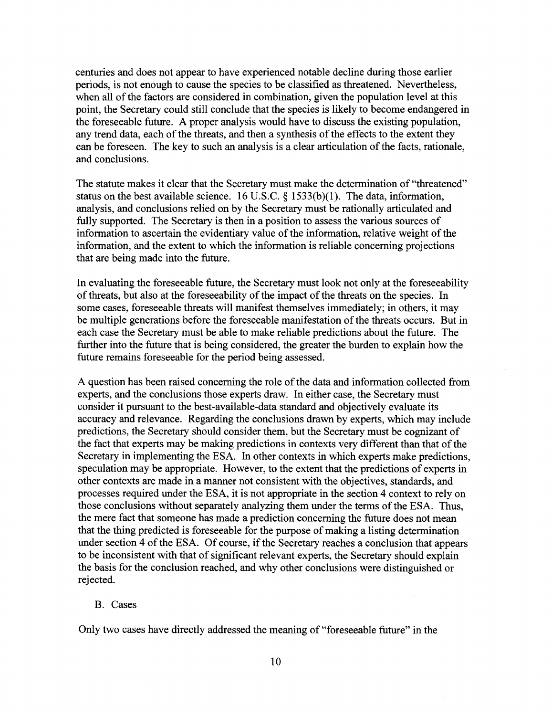centuries and does not appear to have experienced notable decline during those earlier periods, is not enough to cause the species to be classified as threatened. Nevertheless, when all of the factors are considered in combination, given the population level at this point, the Secretary could still conclude that the species is likely to become endangered in the foreseeable future. A proper analysis would have to discuss the existing population, any trend data, each of the threats, and then a synthesis of the effects to the extent they can be foreseen. The key to such an analysis is a clear articulation of the facts, rationale, and conclusions.

The statute makes it clear that the Secretary must make the determination of "threatened" status on the best available science. 16 U.S.C. § 1533(b)(l). The data, information, analysis, and conclusions relied on by the Secretary must be rationally articulated and fully supported. The Secretary is then in a position to assess the various sources of information to ascertain the evidentiary value of the information, relative weight of the information, and the extent to which the information is reliable concerning projections that are being made into the future.

In evaluating the foreseeable future, the Secretary must look not only at the foreseeability of threats, but also at the foreseeability of the impact of the threats on the species. In some cases, foreseeable threats will manifest themselves immediately; in others, it may be multiple generations before the foreseeable manifestation of the threats occurs. But in each case the Secretary must be able to make reliable predictions about the future. The further into the future that is being considered, the greater the burden to explain how the future remains foreseeable for the period being assessed.

A question has been raised concerning the role of the data and information collected from experts, and the conclusions those experts draw. In either case, the Secretary must consider it pursuant to the best-available-data standard and objectively evaluate its accuracy and relevance. Regarding the conclusions drawn by experts, which may include predictions, the Secretary should consider them, but the Secretary must be cognizant of the fact that experts may be making predictions in contexts very different than that of the Secretary in implementing the ESA. In other contexts in which experts make predictions, speculation may be appropriate. However, to the extent that the predictions of experts in other contexts are made in a manner not consistent with the objectives, standards, and processes required under the ESA, it is not appropriate in the section 4 context to rely on those conclusions without separately analyzing them under the terms of the ESA. Thus, the mere fact that someone has made a prediction concerning the future does not mean that the thing predicted is foreseeable for the purpose of making a listing determination under section 4 of the ESA. Of course, if the Secretary reaches a conclusion that appears to be inconsistent with that of significant relevant experts, the Secretary should explain the basis for the conclusion reached, and why other conclusions were distinguished or rejected.

#### B. Cases

Only two cases have directly addressed the meaning of "foreseeable future" in the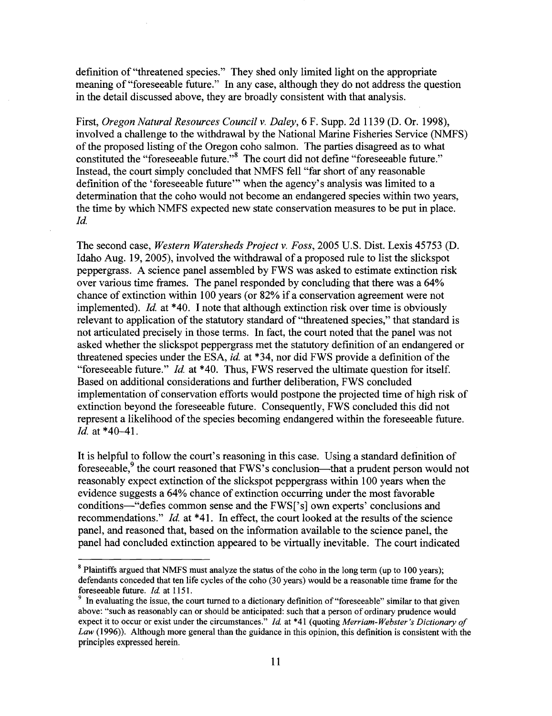definition of "threatened species." They shed only limited light on the appropriate meaning of "foreseeable future." In any case, although they do not address the question in the detail discussed above, they are broadly consistent with that analysis.

First, *Oregon Natural Resources Council* v. *Daley,* 6 F. Supp. 2d 1139 (D. Or. 1998), involved a challenge to the withdrawal by the National Marine Fisheries Service (NMFS) of the proposed listing of the Oregon coho salmon. The parties disagreed as to what constituted the "foreseeable future."<sup>8</sup> The court did not define "foreseeable future." Instead, the court simply concluded that NMFS fell "far short of any reasonable definition of the 'foreseeable future'" when the agency's analysis was limited to a determination that the coho would not become an endangered species within two years, the time by which NMFS expected new state conservation measures to be put in place. *Id.*

The second case, *Western Watersheds Project* v. *Foss,* 2005 U.S. Dist. Lexis 45753 (D. Idaho Aug. 19, 2005), involved the withdrawal of a proposed rule to list the slickspot peppergrass. A science panel assembled by FWS was asked to estimate extinction risk over various time frames. The panel responded by concluding that there was a 64% chance of extinction within 100 years (or 82% if a conservation agreement were not implemented). *Id.* at \*40. I note that although extinction risk over time is obviously relevant to application of the statutory standard of "threatened species," that standard is not articulated precisely in those terms. In fact, the court noted that the panel was not asked whether the slickspot peppergrass met the statutory definition of an endangered or threatened species under the ESA, *id.* at \*34, nor did FWS provide a definition of the "foreseeable future." *Id.* at \*40. Thus, FWS reserved the ultimate question for itself. Based on additional considerations and further deliberation, FWS concluded implementation of conservation efforts would postpone the projected time of high risk of extinction beyond the foreseeable future. Consequently, FWS concluded this did not represent a likelihood of the species becoming endangered within the foreseeable future. *Id.* at \*40-41.

It is helpful to follow the court's reasoning in this case. Using a standard definition of foreseeable,<sup>9</sup> the court reasoned that FWS's conclusion—that a prudent person would not reasonably expect extinction of the slickspot peppergrass within 100 years when the evidence suggests a 64% chance of extinction occurring under the most favorable conditions-"defies common sense and the FWS['s] own experts' conclusions and recommendations." *Id.* at \*41. In effect, the court looked at the results of the science panel, and reasoned that, based on the information available to the science panel, the panel had concluded extinction appeared to be virtually inevitable. The court indicated

<sup>&</sup>lt;sup>8</sup> Plaintiffs argued that NMFS must analyze the status of the coho in the long term (up to 100 years); defendants conceded that ten life cycles of the coho (30 years) would be a reasonable time frame for the foreseeable future. *Id* at 1151.

In evaluating the issue, the court turned to a dictionary definition of "foreseeable" similar to that given above: "such as reasonably can or should be anticipated: such that a person of ordinary prudence would expect it to occur or exist under the circumstances." *!d.* at \*41 (quoting *Merriam- Webster's Dictionary of Law* (1996)). Although more general than the guidance in this opinion, this definition is consistent with the principles expressed herein.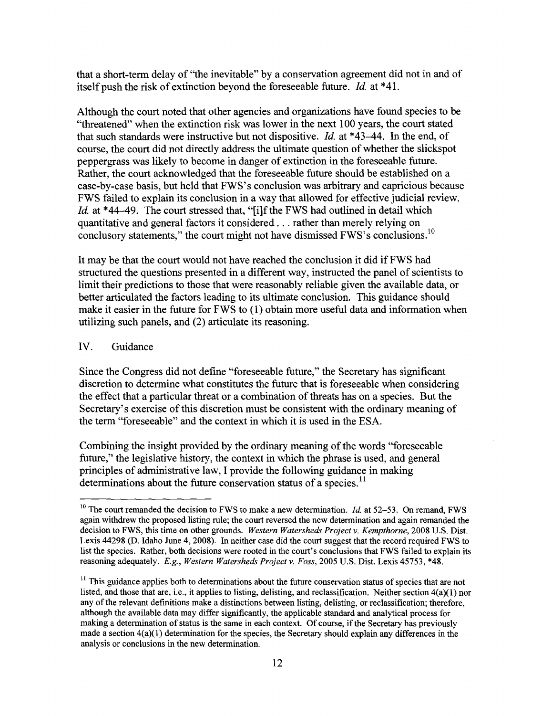that a short-tenn delay of "the inevitable" by a conservation agreement did not in and of itself push the risk of extinction beyond the foreseeable future. *Id* at \*41.

Although the court noted that other agencies and organizations have found species to be "threatened" when the extinction risk was lower in the next 100 years, the court stated that such standards were instructive but not dispositive. *Id.* at \*43–44. In the end, of course, the court did not directly address the ultimate question of whether the slickspot peppergrass was likely to become in danger of extinction in the foreseeable future. Rather, the court acknowledged that the foreseeable future should be established on a case-by-case basis, but held that FWS's conclusion was arbitrary and capricious because FWS failed to explain its conclusion in a way that allowed for effective judicial review. *Id.* at \*44-49. The court stressed that, "[i]f the FWS had outlined in detail which quantitative and general factors it considered ... rather than merely relying on conclusory statements," the court might not have dismissed FWS's conclusions.<sup>10</sup>

It may be that the court would not have reached the conclusion it did if FWS had structured the questions presented in a different way, instructed the panel of scientists to limit their predictions to those that were reasonably reliable given the available data, or better articulated the factors leading to its ultimate conclusion. This guidance should make it easier in the future for FWS to (1) obtain more useful data and information when utilizing such panels, and (2) articulate its reasoning.

#### IV. Guidance

Since the Congress did not define "foreseeable future," the Secretary has significant discretion to determine what constitutes the future that is foreseeable when considering the effect that a particular threat or a combination of threats has on a species. But the Secretary's exercise of this discretion must be consistent with the ordinary meaning of the tenn "foreseeable" and the context in which it is used in the ESA.

Combining the insight provided by the ordinary meaning of the words "foreseeable" future," the legislative history, the context in which the phrase is used, and general principles of administrative law, I provide the following guidance in making determinations about the future conservation status of a species.<sup>11</sup>

<sup>&</sup>lt;sup>10</sup> The court remanded the decision to FWS to make a new determination. *Id.* at 52–53. On remand, FWS again withdrew the proposed listing rule; the court reversed the new determination and again remanded the decision to FWS, this time on other grounds. *Western Watersheds Project* v. *Kempthorne,* 2008 U.S. Dist. Lexis 44298 (D. Idaho June 4, 2008). In neither case did the court suggest that the record required FWS to list the species. Rather, both decisions were rooted in the court's conclusions that FWS failed to explain its reasoning adequately. *E.g., Western Watersheds Project* v. *Foss,* 2005 U.S. Dist. Lexis 45753, \*48.

 $11$  This guidance applies both to determinations about the future conservation status of species that are not listed, and those that are, i.e., it applies to listing, delisting, and reclassification. Neither section 4(a)(l) nor any of the relevant definitions make a distinctions between listing, delisting, or reclassification; therefore, although the available data may differ significantly, the applicable standard and analytical process for making a determination of status is the same in each context. Of course, if the Secretary has previously made a section  $4(a)(1)$  determination for the species, the Secretary should explain any differences in the analysis or conclusions in the new determination.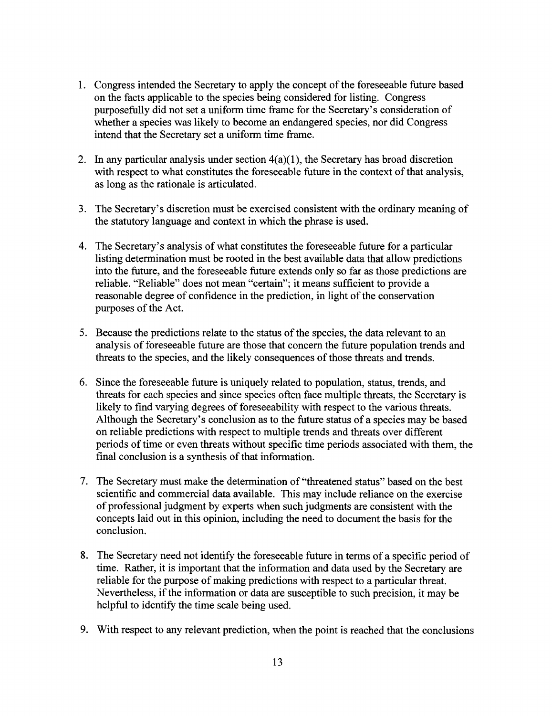- 1. Congress intended the Secretary to apply the concept ofthe foreseeable future based on the facts applicable to the species being considered for listing. Congress purposefully did not set a uniform time frame for the Secretary's consideration of whether a species was likely to become an endangered species, nor did Congress intend that the Secretary set a uniform time frame.
- 2. In any particular analysis under section 4(a)(1), the Secretary has broad discretion with respect to what constitutes the foreseeable future in the context of that analysis, as long as the rationale is articulated.
- 3. The Secretary's discretion must be exercised consistent with the ordinary meaning of the statutory language and context in which the phrase is used.
- 4. The Secretary's analysis of what constitutes the foreseeable future for a particular listing determination must be rooted in the best available data that allow predictions into the future, and the foreseeable future extends only so far as those predictions are reliable. "Reliable" does not mean "certain"; it means sufficient to provide a reasonable degree of confidence in the prediction, in light of the conservation purposes of the Act.
- 5. Because the predictions relate to the status of the species, the data relevant to an analysis of foreseeable future are those that concern the future population trends and threats to the species, and the likely consequences of those threats and trends.
- 6. Since the foreseeable future is uniquely related to population, status, trends, and threats for each species and since species often face multiple threats, the Secretary is likely to find varying degrees of foreseeability with respect to the various threats. Although the Secretary's conclusion as to the future status of a species may be based on reliable predictions with respect to multiple trends and threats over different periods of time or even threats without specific time periods associated with them, the final conclusion is a synthesis of that information.
- 7. The Secretary must make the determination of "threatened status" based on the best scientific and commercial data available. This may include reliance on the exercise of professional judgment by experts when such judgments are consistent with the concepts laid *out* in this opinion, including the need to document the basis for the conclusion.
- 8. The Secretary need not identify the foreseeable future in terms of a specific period of time. Rather, it is important that the information and data used by the Secretary are reliable for the purpose of making predictions with respect to a particular threat. Nevertheless, if the information or data are susceptible to such precision, it may be helpful to identify the time scale being used.
- 9. With respect to any relevant prediction, when the point is reached that the conclusions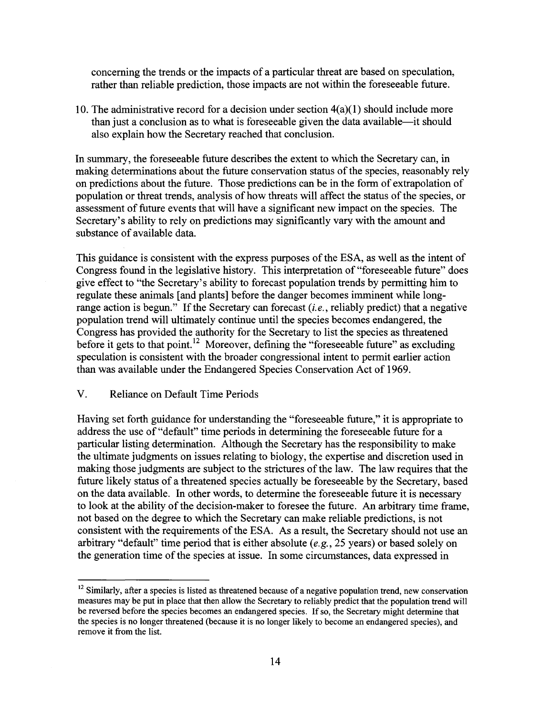concerning the trends or the impacts of a particular threat are based on speculation, rather than reliable prediction, those impacts are not within the foreseeable future.

10. The administrative record for a decision under section  $4(a)(1)$  should include more than just a conclusion as to what is foreseeable given the data available-it should also explain how the Secretary reached that conclusion.

In summary, the foreseeable future describes the extent to which the Secretary can, in making determinations about the future conservation status of the species, reasonably rely on predictions about the future. Those predictions can be in the form of extrapolation of population or threat trends, analysis of how threats will affect the status of the species, or assessment of future events that will have a significant new impact on the species. The Secretary's ability to rely on predictions may significantly vary with the amount and substance of available data.

This guidance is consistent with the express purposes of the ESA, as well as the intent of Congress found in the legislative history. This interpretation of "foreseeable future" does give effect to "the Secretary's ability to forecast population trends by permitting him to regulate these animals [and plants] before the danger becomes imminent while longrange action is begun." If the Secretary can forecast *(i.e.,* reliably predict) that a negative population trend will ultimately continue until the species becomes endangered, the Congress has provided the authority for the Secretary to list the species as threatened before it gets to that point.<sup>12</sup> Moreover, defining the "foreseeable future" as excluding speculation is consistent with the broader congressional intent to permit earlier action than was available under the Endangered Species Conservation Act of 1969.

## V. Reliance on Default Time Periods

Having set forth guidance for understanding the "foreseeable future," it is appropriate to address the use of "default" time periods in determining the foreseeable future for a particular listing determination. Although the Secretary has the responsibility to make the ultimate judgments on issues relating to biology, the expertise and discretion used in making those judgments are subject to the strictures of the law. The law requires that the future likely status of a threatened species actually be foreseeable by the Secretary, based on the data available. In other words, to determine the foreseeable future it is necessary to look at the ability of the decision-maker to foresee the future. An arbitrary time frame, not based on the degree to which the Secretary can make reliable predictions, is not consistent with the requirements of the ESA. As a result, the Secretary should not use an arbitrary "default" time period that is either absolute *(e.g.,* 25 years) or based solely on the generation time of the species at issue. In some circumstances, data expressed in

<sup>&</sup>lt;sup>12</sup> Similarly, after a species is listed as threatened because of a negative population trend, new conservation measures may be put in place that then allow the Secretary to reliably predict that the population trend will be reversed before the species becomes an endangered species. If so, the Secretary might determine that the species is no longer threatened (because it is no longer likely to become an endangered species), and remove it from the list.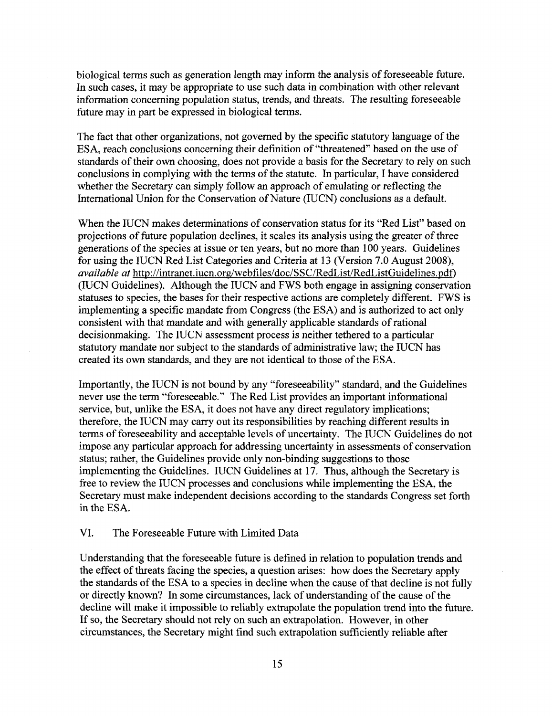biological terms such as generation length may inform the analysis of foreseeable future. In such cases, it may be appropriate to use such data in combination with other relevant information concerning population status, trends, and threats. The resulting foreseeable future may in part be expressed in biological terms.

The fact that other organizations, not governed by the specific statutory language of the ESA, reach conclusions concerning their definition of "threatened" based on the use of standards of their own choosing, does not provide a basis for the Secretary to rely on such conclusions in complying with the terms of the statute. In particular, I have considered whether the Secretary can simply follow an approach of emulating or reflecting the International Union for the Conservation of Nature (IUCN) conclusions as a default.

When the IUCN makes determinations of conservation status for its "Red List" based on projections of future population declines, it scales its analysis using the greater of three generations of the species at issue or ten years, but no more than 100 years. Guidelines for using the IUCN Red List Categories and Criteria at 13 (Version 7.0 August 2008), *available at* http://intranet.iucn.org/webfiles/doc/SSC/RedList/RedListGuidelines.pdf) (lUCN Guidelines). Although the IUCN and FWS both engage in assigning conservation statuses to species, the bases for their respective actions are completely different. FWS is implementing a specific mandate from Congress (the ESA) and is authorized to act only consistent with that mandate and with generally applicable standards ofrational decisionmaking. The IUCN assessment process is neither tethered to a particular statutory mandate nor subject to the standards of administrative law; the IUCN has created its own standards, and they are not identical to those of the ESA.

Importantly, the IUCN is not bound by any "foreseeability" standard, and the Guidelines never use the term "foreseeable." The Red List provides an important informational service, but, unlike the ESA, it does not have any direct regulatory implications; therefore, the IUCN may carry out its responsibilities by reaching different results in terms of foreseeability and acceptable levels of uncertainty. The IUCN Guidelines do not impose any particular approach for addressing uncertainty in assessments of conservation status; rather, the Guidelines provide only non-binding suggestions to those implementing the Guidelines. IUCN Guidelines at 17. Thus, although the Secretary is free to review the IUCN processes and conclusions while implementing the ESA, the Secretary must make independent decisions according to the standards Congress set forth in the ESA.

## VI. The Foreseeable Future with Limited Data

Understanding that the foreseeable future is defined in relation to population trends and the effect of threats facing the species, a question arises: how does the Secretary apply the standards of the ESA to a species in decline when the cause of that decline is not fully or directly known? In some circumstances, lack of understanding of the cause of the decline will make it impossible to reliably extrapolate the population trend into the future. If so, the Secretary should not rely on such an extrapolation. However, in other circumstances, the Secretary might find such extrapolation sufficiently reliable after